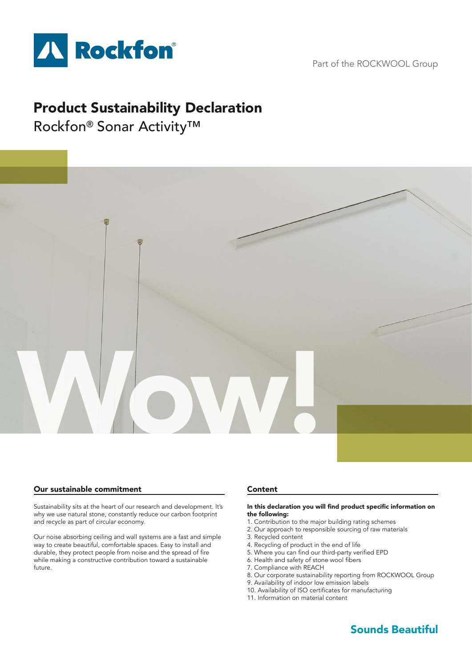

Part of the ROCKWOOL Group

# Product Sustainability Declaration

Rockfon® Sonar Activity™



# Our sustainable commitment

Sustainability sits at the heart of our research and development. It's why we use natural stone, constantly reduce our carbon footprint and recycle as part of circular economy.

Our noise absorbing ceiling and wall systems are a fast and simple way to create beautiful, comfortable spaces. Easy to install and durable, they protect people from noise and the spread of fire while making a constructive contribution toward a sustainable future.

# Content

#### In this declaration you will find product specific information on the following:

- 1. Contribution to the major building rating schemes
- 2. Our approach to responsible sourcing of raw materials
- 3. Recycled content
- 4. Recycling of product in the end of life
	- 5. Where you can find our third-party verified EPD
	- 6. Health and safety of stone wool fibers
	- 7. Compliance with REACH
	- 8. Our corporate sustainability reporting from ROCKWOOL Group
	- 9. Availability of indoor low emission labels
	- 10. Availability of ISO certificates for manufacturing
	- 11. Information on material content

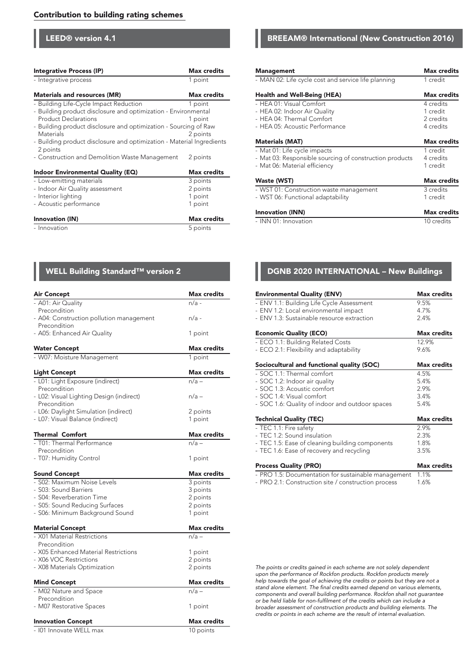## Contribution to building rating schemes

LEED® version 4.1

| Integrative Process (IP)                                                          | <b>Max credits</b> |  |  |
|-----------------------------------------------------------------------------------|--------------------|--|--|
| - Integrative process                                                             | 1 point            |  |  |
| <b>Materials and resources (MR)</b>                                               | <b>Max credits</b> |  |  |
| - Building Life-Cycle Impact Reduction                                            | 1 point            |  |  |
| - Building product disclosure and optimization - Environmental                    |                    |  |  |
| <b>Product Declarations</b>                                                       | 1 point            |  |  |
| - Building product disclosure and optimization - Sourcing of Raw                  |                    |  |  |
| Materials                                                                         | 2 points           |  |  |
| - Building product disclosure and optimization - Material Ingredients<br>2 points |                    |  |  |
| - Construction and Demolition Waste Management                                    | 2 points           |  |  |
| Indoor Environmental Quality (EQ)                                                 | <b>Max credits</b> |  |  |
| - Low-emitting materials                                                          | 3 points           |  |  |
| - Indoor Air Quality assessment                                                   | 2 points           |  |  |
| - Interior lighting                                                               | 1 point            |  |  |
| - Acoustic performance                                                            | 1 point            |  |  |
| Innovation (IN)                                                                   | <b>Max credits</b> |  |  |
| - Innovation                                                                      | 5 points           |  |  |

| <b>Air Concept</b>                               | <b>Max credits</b> |
|--------------------------------------------------|--------------------|
| - A01: Air Quality                               | n/a -              |
| Precondition                                     |                    |
| - A04: Construction pollution management         | $n/a$ -            |
| Precondition                                     |                    |
| - A05: Enhanced Air Quality                      | 1 point            |
| <b>Water Concept</b>                             | <b>Max</b> credits |
| - W07: Moisture Management                       | 1 point            |
|                                                  | <b>Max credits</b> |
| <b>Light Concept</b>                             | $n/a -$            |
| - L01: Light Exposure (indirect)<br>Precondition |                    |
| - L02: Visual Lighting Design (indirect)         | $n/a -$            |
| Precondition                                     |                    |
| - L06: Daylight Simulation (indirect)            | 2 points           |
| - L07: Visual Balance (indirect)                 | 1 point            |
|                                                  |                    |
| <b>Thermal Comfort</b>                           | <b>Max credits</b> |
| - T01: Thermal Performance                       | $n/a -$            |
| Precondition                                     |                    |
| - T07: Humidity Control                          | 1 point            |
| <b>Sound Concept</b>                             | <b>Max credits</b> |
| - S02: Maximum Noise Levels                      | 3 points           |
| - S03: Sound Barriers                            | 3 points           |
| - S04: Reverberation Time                        | 2 points           |
| - S05: Sound Reducing Surfaces                   | 2 points           |
| - S06: Minimum Background Sound                  | 1 point            |
| <b>Material Concept</b>                          | <b>Max</b> credits |
| - X01 Material Restrictions                      | $n/a -$            |
| Precondition                                     |                    |
| - X05 Enhanced Material Restrictions             | 1 point            |
| - X06 VOC Restrictions                           | 2 points           |
| - X08 Materials Optimization                     | 2 points           |
|                                                  | <b>Max credits</b> |
| <b>Mind Concept</b>                              |                    |
| - M02 Nature and Space<br>Precondition           | $n/a -$            |
| - M07 Restorative Spaces                         | 1 point            |
|                                                  |                    |
| <b>Innovation Concept</b>                        | <b>Max credits</b> |
| - 101 Innovate WELL max                          | 10 points          |

## BREEAM® International (New Construction 2016)

| <b>Management</b>                                       | <b>Max credits</b> |
|---------------------------------------------------------|--------------------|
| - MAN 02: Life cycle cost and service life planning     | 1 credit           |
| Health and Well-Being (HEA)                             | <b>Max credits</b> |
| $-$ HFA 01: Visual Comfort                              | 4 credits          |
| - HEA 02: Indoor Air Quality                            | 1 credit           |
| - HEA 04: Thermal Comfort                               | 2 credits          |
| - HEA 05: Acoustic Performance                          | 4 credits          |
| <b>Materials (MAT)</b>                                  | <b>Max credits</b> |
| - Mat 01: Life cycle impacts                            | 1 credit           |
| - Mat 03: Responsible sourcing of construction products | 4 credits          |
| - Mat 06: Material efficiency                           | 1 credit           |
| Waste (WST)                                             | <b>Max credits</b> |
| - WST 01: Construction waste management                 | 3 credits          |
| - WST 06: Functional adaptability                       | 1 credit           |
| <b>Innovation (INN)</b>                                 | <b>Max credits</b> |
| - INN 01: Innovation                                    | 10 credits         |

# WELL Building Standard™ version 2 **DGNB 2020 INTERNATIONAL – New Buildings**

| <b>Environmental Quality (ENV)</b>                  | <b>Max credits</b> |  |  |  |
|-----------------------------------------------------|--------------------|--|--|--|
| - ENV 1.1: Building Life Cycle Assessment           | 9.5%               |  |  |  |
| - ENV 1.2: Local environmental impact               | 4.7%               |  |  |  |
| - ENV 1.3: Sustainable resource extraction          | 2.4%               |  |  |  |
| <b>Economic Quality (ECO)</b>                       | <b>Max credits</b> |  |  |  |
| - ECO 1.1: Building Related Costs                   | 12.9%              |  |  |  |
| - ECO 2.1: Flexibility and adaptability             | 9.6%               |  |  |  |
| Sociocultural and functional quality (SOC)          | <b>Max credits</b> |  |  |  |
| - SOC 1.1: Thermal comfort                          | 4.5%               |  |  |  |
| - SOC 1.2: Indoor air quality                       | 5.4%               |  |  |  |
| - SOC 1.3: Acoustic comfort                         | 2.9%               |  |  |  |
| - SOC 1.4: Visual comfort                           | 3.4%               |  |  |  |
| - SOC 1.6: Quality of indoor and outdoor spaces     | 5.4%               |  |  |  |
| <b>Technical Quality (TEC)</b>                      | <b>Max credits</b> |  |  |  |
| - TEC 1.1: Fire safety                              | 2.9%               |  |  |  |
| - TEC 1.2: Sound insulation                         | 2.3%               |  |  |  |
| - TEC 1.5: Ease of cleaning building components     | 1.8%               |  |  |  |
| - TEC 1.6: Ease of recovery and recycling           | 3.5%               |  |  |  |
| <b>Process Quality (PRO)</b>                        | <b>Max credits</b> |  |  |  |
| - PRO 1.5: Documentation for sustainable management | 1.1%               |  |  |  |
| - PRO 2.1: Construction site / construction process | 1.6%               |  |  |  |

*The points or credits gained in each scheme are not solely dependent upon the performance of Rockfon products. Rockfon products merely help towards the goal of achieving the credits or points but they are not a*  stand alone element. The final credits earned depend on various elements, *components and overall building performance. Rockfon shall not guarantee*  or be held liable for non-fulfilment of the credits which can include a *broader assessment of construction products and building elements. The credits or points in each scheme are the result of internal evaluation.*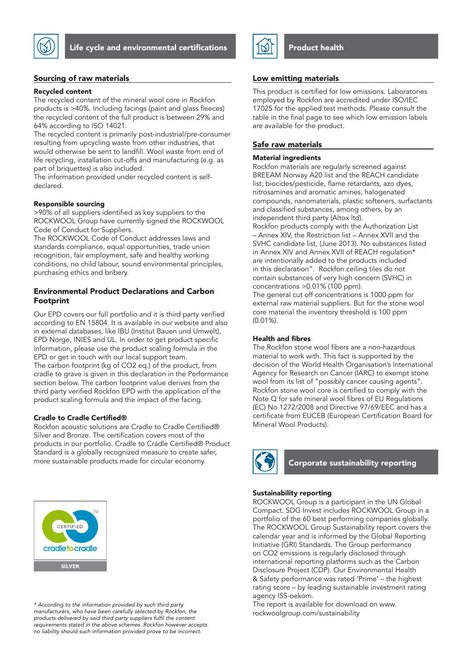

Life cycle and environmental certifications

# Sourcing of raw materials

#### Recycled content

The recycled content of the mineral wool core in Rockfon products is >40%. Including facings (paint and glass fleeces) the recycled content of the full product is between 29% and 64% according to ISO 14021.

The recycled content is primarily post-industrial/pre-consumer resulting from upcycling waste from other industries, that would otherwise be sent to landfill. Wool waste from end of life recycling, installation cut-offs and manufacturing (e.g. as part of briquettes) is also included.

The information provided under recycled content is selfdeclared.

#### Responsible sourcing

>90% of all suppliers identified as key suppliers to the ROCKWOOL Group have currently signed the ROCKWOOL Code of Conduct for Suppliers.

The ROCKWOOL Code of Conduct addresses laws and standards compliance, equal opportunities, trade union recognition, fair employment, safe and healthy working conditions, no child labour, sound environmental principles, purchasing ethics and bribery.

# Environmental Product Declarations and Carbon Footprint

Our EPD covers our full portfolio and it is third party verified according to EN 15804. It is available in our website and also in external databases, like IBU (Institut Bauen und Umwelt), EPD Norge, INIES and UL. In order to get product specific information, please use the product scaling formula in the EPD or get in touch with our local support team. The carbon footprint (kg of CO2 eq.) of the product, from cradle to grave is given in this declaration in the Performance section below. The carbon footprint value derives from the third party verified Rockfon EPD with the application of the product scaling formula and the impact of the facing.

#### Cradle to Cradle Certified®

Rockfon acoustic solutions are Cradle to Cradle Certified® Silver and Bronze. The certification covers most of the products in our portfolio. Cradle to Cradle Certified® Product Standard is a globally recognized measure to create safer, more sustainable products made for circular economy.



*\* According to the information provided by such third party*  manufacturers, who have been carefully selected by Rockfon, the products delivered by said third party suppliers fulfil the content *requirements stated in the above schemes. Rockfon however accepts no liability should such information provided prove to be incorrect.*



#### Low emitting materials

This product is certified for low emissions. Laboratories employed by Rockfon are accredited under ISO/IEC 17025 for the applied test methods. Please consult the table in the final page to see which low emission labels are available for the product.

# Safe raw materials

# Material ingredients

Rockfon materials are regularly screened against BREEAM Norway A20 list and the REACH candidate list; biocides/pesticide, flame retardants, azo dyes, nitrosamines and aromatic amines, halogenated compounds, nanomaterials, plastic softeners, surfactants and classified substances, among others, by an independent third party (Altox ltd).

Rockfon products comply with the Authorization List – Annex XIV, the Restriction list – Annex XVII and the SVHC candidate list, (June 2013). No substances listed in Annex XIV and Annex XVII of REACH regulation\* are intentionally added to the products included in this declaration". Rockfon ceiling tiles do not contain substances of very high concern (SVHC) in concentrations >0.01% (100 ppm).

The general cut off concentrations is 1000 ppm for external raw material suppliers. But for the stone wool core material the inventory threshold is 100 ppm (0.01%).

#### Health and fibres

The Rockfon stone wool fibers are a non-hazardous material to work with. This fact is supported by the decision of the World Health Organisation's International Agency for Research on Cancer (IARC) to exempt stone wool from its list of "possibly cancer causing agents". Rockfon stone wool core is certified to comply with the Note Q for safe mineral wool fibres of EU Regulations (EC) No 1272/2008 and Directive 97/69/EEC and has a certificate from EUCEB (European Certification Board for Mineral Wool Products).



# Corporate sustainability reporting

## Sustainability reporting

ROCKWOOL Group is a participant in the UN Global Compact. SDG Invest includes ROCKWOOL Group in a portfolio of the 60 best performing companies globally. The ROCKWOOL Group Sustainability report covers the calendar year and is informed by the Global Reporting Initiative (GRI) Standards. The Group performance on CO2 emissions is regularly disclosed through international reporting platforms such as the Carbon Disclosure Project (CDP). Our Environmental Health & Safety performance was rated 'Prime' – the highest rating score – by leading sustainable investment rating agency ISS-oekom.

The report is available for download on www. rockwoolgroup.com/sustainability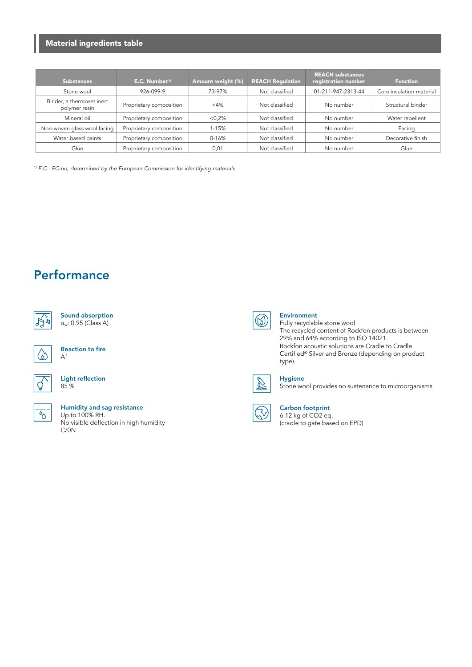# Material ingredients table

| <b>Substances</b>                          | E.C. Number <sup>1)</sup> | Amount weight (%) | <b>REACH Regulation</b> | <b>REACH substances</b><br>registration number | <b>Function</b>          |
|--------------------------------------------|---------------------------|-------------------|-------------------------|------------------------------------------------|--------------------------|
| Stone wool                                 | 926-099-9                 | 73-97%            | Not classified          | 01-211-947-2313-44                             | Core insulation material |
| Binder, a thermoset inert<br>polymer resin | Proprietary composition   | $<$ 4%            | Not classified          | No number                                      | Structural binder        |
| Mineral oil                                | Proprietary composition   | < 0.2%            | Not classified          | No number                                      | Water repellent          |
| Non-woven glass wool facing                | Proprietary composition   | $1 - 15%$         | Not classified          | No number                                      | Facing                   |
| Water based paints                         | Proprietary composition   | $0 - 16%$         | Not classified          | No number                                      | Decorative finish        |
| Glue                                       | Proprietary composition   | 0,01              | Not classified          | No number                                      | Glue                     |

*1) E.C.: EC-no, determined by the European Commission for identifying materials*

# **Performance**



| Sound absorption            |
|-----------------------------|
| $\alpha_w$ : 0.95 (Class A) |



Reaction to fire A1

#### Light reflection 85 %



#### Humidity and sag resistance Up to 100% RH. No visible deflection in high humidity C/0N



# Environment

Fully recyclable stone wool The recycled content of Rockfon products is between 29% and 64% according to ISO 14021. Rockfon acoustic solutions are Cradle to Cradle Certified® Silver and Bronze (depending on product type).



### Hygiene

Stone wool provides no sustenance to microorganisms

#### Carbon footprint 6.12 kg of CO2 eq.

(cradle to gate based on EPD)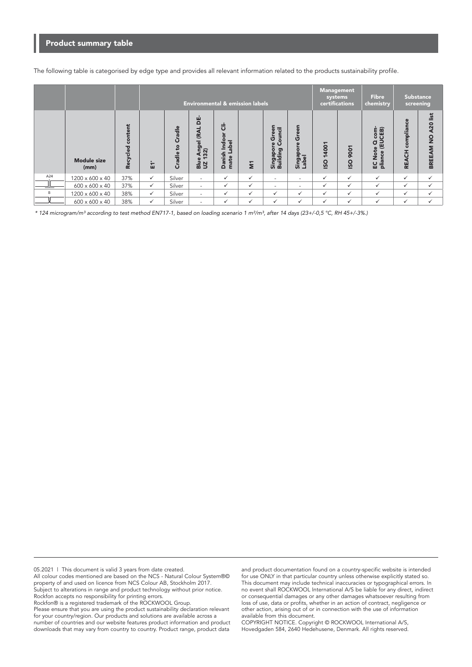# Product summary table

The following table is categorised by edge type and provides all relevant information related to the products sustainability profile.

|     |                            |                   |              | <b>Environmental &amp; emission labels</b> |                                                        |                                                                     |              |                                                    |                                  |                  | <b>Management</b><br>systems<br>certifications | <b>Fibre</b><br>chemistry                                                              | <b>Substance</b>           | screening                                  |
|-----|----------------------------|-------------------|--------------|--------------------------------------------|--------------------------------------------------------|---------------------------------------------------------------------|--------------|----------------------------------------------------|----------------------------------|------------------|------------------------------------------------|----------------------------------------------------------------------------------------|----------------------------|--------------------------------------------|
|     | <b>Module size</b><br>(mm) | ť<br>ecycled<br>œ | Ĕ1           | Cradle<br>$\mathbf{S}$<br>Cradle           | ģ<br>Angel (RAL<br> 32)<br>$\omega$<br>$\frac{3}{8}$ N | ä<br>ŏ<br><u>ndo</u><br>abel<br>ᅩ<br>ᆜ<br>anisl<br>mate<br>$\Delta$ | Ξ            | Green<br>ouncil<br>စ္<br>ပ<br>Singapor<br>Building | reen<br>ט<br>൨<br>Singa<br>Label | 4001<br>-<br>ISO | 9001<br>ISO                                    | 窗<br>č<br>S<br>面<br>d<br>Е<br>画<br>Φ<br>Š<br>ū<br>c<br>$\boldsymbol{\sigma}$<br>입<br>들 | compliance<br><b>REACH</b> | A20 list<br>$\frac{1}{2}$<br><b>BREEAM</b> |
| A24 | 1200 x 600 x 40            | 37%               | $\checkmark$ | Silver                                     | $\sim$                                                 | ✓                                                                   | ✓            | $\overline{\phantom{a}}$                           | $\overline{\phantom{0}}$         | $\checkmark$     | $\checkmark$                                   | ✓                                                                                      | $\checkmark$               | $\checkmark$                               |
|     | $600 \times 600 \times 40$ | 37%               | $\checkmark$ | Silver                                     | $\overline{\phantom{a}}$                               | ✓                                                                   | $\checkmark$ | $\sim$                                             | ٠                                | $\checkmark$     | $\checkmark$                                   | ✓                                                                                      | $\checkmark$               | $\checkmark$                               |
| B   | 1200 x 600 x 40            | 38%               | $\checkmark$ | Silver                                     | $\sim$                                                 | $\checkmark$                                                        | $\checkmark$ | $\checkmark$                                       | $\checkmark$                     | $\checkmark$     | $\checkmark$                                   | ✓                                                                                      | $\checkmark$               | $\checkmark$                               |
|     | $600 \times 600 \times 40$ | 38%               | $\checkmark$ | Silver                                     | $\overline{\phantom{a}}$                               | ✓                                                                   | $\checkmark$ | $\checkmark$                                       | $\checkmark$                     | $\checkmark$     | ✓                                              | $\checkmark$                                                                           | $\checkmark$               | $\checkmark$                               |

\* 124 microgram/m³ according to test method EN717-1, based on loading scenario 1 m²/m³, after 14 days (23+/-0,5 °C, RH 45+/-3%.)

05.2021 | This document is valid 3 years from date created. All colour codes mentioned are based on the NCS - Natural Colour System®© property of and used on licence from NCS Colour AB, Stockholm 2017. Subject to alterations in range and product technology without prior notice. Rockfon accepts no responsibility for printing errors. Rockfon® is a registered trademark of the ROCKWOOL Group. Please ensure that you are using the product sustainability declaration relevant

for your country/region. Our products and solutions are available across a number of countries and our website features product information and product downloads that may vary from country to country. Product range, product data

and product documentation found on a country-specific website is intended for use ONLY in that particular country unless otherwise explicitly stated so. This document may include technical inaccuracies or typographical errors. In no event shall ROCKWOOL International A/S be liable for any direct, indirect or consequential damages or any other damages whatsoever resulting from loss of use, data or profits, whether in an action of contract, negligence or other action, arising out of or in connection with the use of information available from this document.

COPYRIGHT NOTICE. Copyright © ROCKWOOL International A/S, Hovedgaden 584, 2640 Hedehusene, Denmark. All rights reserved.